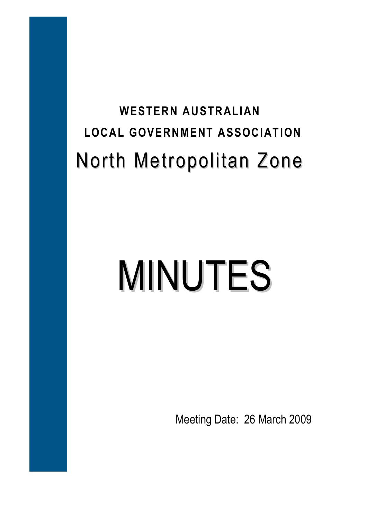# **WESTERN AUSTRALIAN LOCAL GOVERNMENT ASSOCIATION**  North Metropolitan Zone

# MINUTES

Meeting Date: 26 March 2009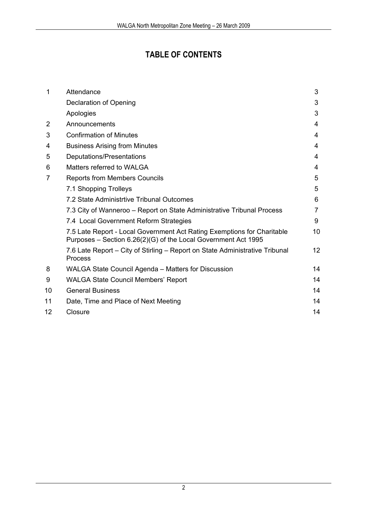# **TABLE OF CONTENTS**

| 1              | Attendance                                                                                                                                | 3  |
|----------------|-------------------------------------------------------------------------------------------------------------------------------------------|----|
|                | Declaration of Opening                                                                                                                    | 3  |
|                | Apologies                                                                                                                                 | 3  |
| $\overline{2}$ | Announcements                                                                                                                             | 4  |
| 3              | <b>Confirmation of Minutes</b>                                                                                                            | 4  |
| 4              | <b>Business Arising from Minutes</b>                                                                                                      | 4  |
| 5              | Deputations/Presentations                                                                                                                 | 4  |
| 6              | Matters referred to WALGA                                                                                                                 | 4  |
| 7              | <b>Reports from Members Councils</b>                                                                                                      | 5  |
|                | 7.1 Shopping Trolleys                                                                                                                     | 5  |
|                | 7.2 State Administrtive Tribunal Outcomes                                                                                                 | 6  |
|                | 7.3 City of Wanneroo – Report on State Administrative Tribunal Process                                                                    | 7  |
|                | 7.4 Local Government Reform Strategies                                                                                                    | 9  |
|                | 7.5 Late Report - Local Government Act Rating Exemptions for Charitable<br>Purposes – Section 6.26(2)(G) of the Local Government Act 1995 | 10 |
|                | 7.6 Late Report - City of Stirling - Report on State Administrative Tribunal<br><b>Process</b>                                            | 12 |
| 8              | <b>WALGA State Council Agenda - Matters for Discussion</b>                                                                                | 14 |
| 9              | <b>WALGA State Council Members' Report</b>                                                                                                | 14 |
| 10             | <b>General Business</b>                                                                                                                   | 14 |
| 11             | Date, Time and Place of Next Meeting                                                                                                      | 14 |
| 12             | Closure                                                                                                                                   | 14 |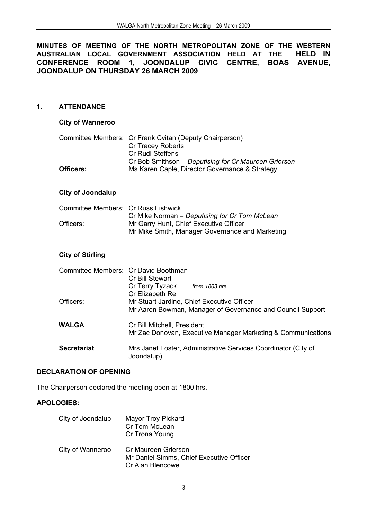**MINUTES OF MEETING OF THE NORTH METROPOLITAN ZONE OF THE WESTERN AUSTRALIAN LOCAL GOVERNMENT ASSOCIATION HELD AT THE HELD IN CONFERENCE ROOM 1, JOONDALUP CIVIC CENTRE, BOAS AVENUE, JOONDALUP ON THURSDAY 26 MARCH 2009** 

# **1. ATTENDANCE**

# **City of Wanneroo**

|           | Committee Members: Cr Frank Cvitan (Deputy Chairperson) |
|-----------|---------------------------------------------------------|
|           | Cr Tracey Roberts                                       |
|           | Cr Rudi Steffens                                        |
|           | Cr Bob Smithson – Deputising for Cr Maureen Grierson    |
| Officers: | Ms Karen Caple, Director Governance & Strategy          |

# **City of Joondalup**

| Committee Members: Cr Russ Fishwick |                                                 |
|-------------------------------------|-------------------------------------------------|
|                                     | Cr Mike Norman – Deputising for Cr Tom McLean   |
| Officers:                           | Mr Garry Hunt, Chief Executive Officer          |
|                                     | Mr Mike Smith, Manager Governance and Marketing |

# **City of Stirling**

| Committee Members: Cr David Boothman | Cr Bill Stewart                                                              |
|--------------------------------------|------------------------------------------------------------------------------|
|                                      | Cr Terry Tyzack<br>from 1803 hrs<br>Cr Elizabeth Re                          |
| Officers:                            | Mr Stuart Jardine, Chief Executive Officer                                   |
|                                      | Mr Aaron Bowman, Manager of Governance and Council Support                   |
| WALGA                                | Cr Bill Mitchell, President                                                  |
|                                      | Mr Zac Donovan, Executive Manager Marketing & Communications                 |
| <b>Secretariat</b>                   | Mrs Janet Foster, Administrative Services Coordinator (City of<br>Joondalup) |

# **DECLARATION OF OPENING**

The Chairperson declared the meeting open at 1800 hrs.

# **APOLOGIES:**

| City of Joondalup | <b>Mayor Troy Pickard</b><br>Cr Tom McLean<br>Cr Trona Young                        |
|-------------------|-------------------------------------------------------------------------------------|
| City of Wanneroo  | Cr Maureen Grierson<br>Mr Daniel Simms, Chief Executive Officer<br>Cr Alan Blencowe |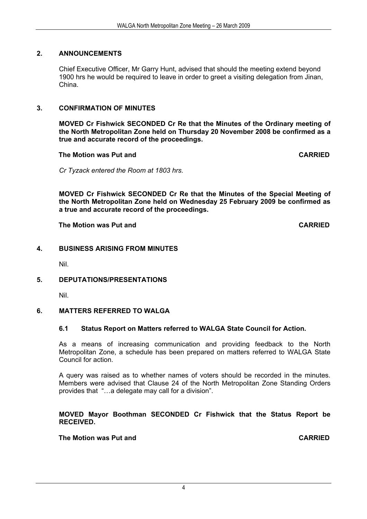# **2. ANNOUNCEMENTS**

 Chief Executive Officer, Mr Garry Hunt, advised that should the meeting extend beyond 1900 hrs he would be required to leave in order to greet a visiting delegation from Jinan, China.

# **3. CONFIRMATION OF MINUTES**

**MOVED Cr Fishwick SECONDED Cr Re that the Minutes of the Ordinary meeting of the North Metropolitan Zone held on Thursday 20 November 2008 be confirmed as a true and accurate record of the proceedings.** 

 **The Motion was Put and CARRIED** 

*Cr Tyzack entered the Room at 1803 hrs.* 

**MOVED Cr Fishwick SECONDED Cr Re that the Minutes of the Special Meeting of the North Metropolitan Zone held on Wednesday 25 February 2009 be confirmed as a true and accurate record of the proceedings.**

 **The Motion was Put and CARRIED** 

# **4. BUSINESS ARISING FROM MINUTES**

Nil.

# **5. DEPUTATIONS/PRESENTATIONS**

Nil.

# **6. MATTERS REFERRED TO WALGA**

# **6.1 Status Report on Matters referred to WALGA State Council for Action.**

As a means of increasing communication and providing feedback to the North Metropolitan Zone, a schedule has been prepared on matters referred to WALGA State Council for action.

A query was raised as to whether names of voters should be recorded in the minutes. Members were advised that Clause 24 of the North Metropolitan Zone Standing Orders provides that "…a delegate may call for a division".

### **MOVED Mayor Boothman SECONDED Cr Fishwick that the Status Report be RECEIVED.**

# **The Motion was Put and CARRIED CARRIED**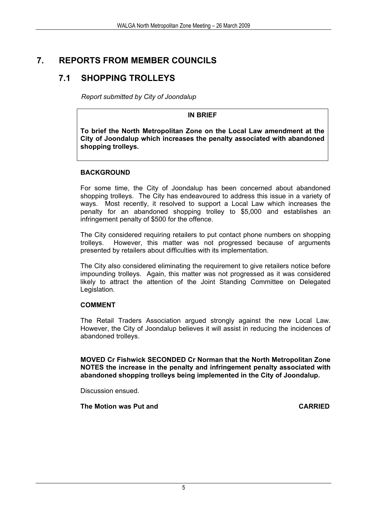# **7. REPORTS FROM MEMBER COUNCILS**

# **7.1 SHOPPING TROLLEYS**

*Report submitted by City of Joondalup* 

# **IN BRIEF**

**To brief the North Metropolitan Zone on the Local Law amendment at the City of Joondalup which increases the penalty associated with abandoned shopping trolleys.** 

# **BACKGROUND**

For some time, the City of Joondalup has been concerned about abandoned shopping trolleys. The City has endeavoured to address this issue in a variety of ways. Most recently, it resolved to support a Local Law which increases the penalty for an abandoned shopping trolley to \$5,000 and establishes an infringement penalty of \$500 for the offence.

The City considered requiring retailers to put contact phone numbers on shopping trolleys. However, this matter was not progressed because of arguments presented by retailers about difficulties with its implementation.

The City also considered eliminating the requirement to give retailers notice before impounding trolleys. Again, this matter was not progressed as it was considered likely to attract the attention of the Joint Standing Committee on Delegated Legislation.

# **COMMENT**

The Retail Traders Association argued strongly against the new Local Law. However, the City of Joondalup believes it will assist in reducing the incidences of abandoned trolleys.

**MOVED Cr Fishwick SECONDED Cr Norman that the North Metropolitan Zone NOTES the increase in the penalty and infringement penalty associated with abandoned shopping trolleys being implemented in the City of Joondalup.** 

Discussion ensued.

**The Motion was Put and CARRIED CARRIED**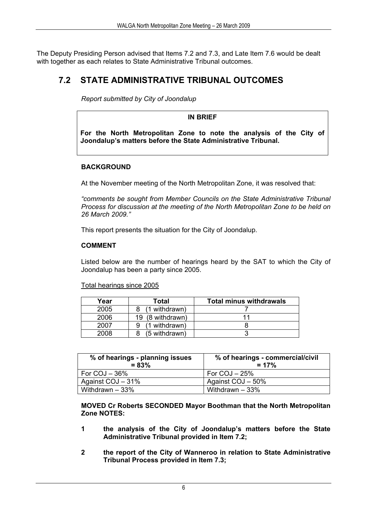The Deputy Presiding Person advised that Items 7.2 and 7.3, and Late Item 7.6 would be dealt with together as each relates to State Administrative Tribunal outcomes.

# **7.2 STATE ADMINISTRATIVE TRIBUNAL OUTCOMES**

*Report submitted by City of Joondalup* 

**IN BRIEF** 

**For the North Metropolitan Zone to note the analysis of the City of Joondalup's matters before the State Administrative Tribunal.** 

# **BACKGROUND**

At the November meeting of the North Metropolitan Zone, it was resolved that:

*"comments be sought from Member Councils on the State Administrative Tribunal Process for discussion at the meeting of the North Metropolitan Zone to be held on 26 March 2009."* 

This report presents the situation for the City of Joondalup.

# **COMMENT**

Listed below are the number of hearings heard by the SAT to which the City of Joondalup has been a party since 2005.

Total hearings since 2005

| Year | Total            | <b>Total minus withdrawals</b> |
|------|------------------|--------------------------------|
| 2005 | (1 withdrawn)    |                                |
| 2006 | 19 (8 withdrawn) |                                |
| 2007 | (1 withdrawn)    |                                |
| 2008 | (5 withdrawn)    |                                |

| % of hearings - planning issues<br>$= 83%$ | % of hearings - commercial/civil<br>$= 17%$ |
|--------------------------------------------|---------------------------------------------|
| For $COJ - 36%$                            | For $COJ - 25%$                             |
| Against COJ - 31%                          | Against COJ - 50%                           |
| Withdrawn $-33%$                           | Withdrawn $-33%$                            |

**MOVED Cr Roberts SECONDED Mayor Boothman that the North Metropolitan Zone NOTES:** 

- **1 the analysis of the City of Joondalup's matters before the State Administrative Tribunal provided in Item 7.2;**
- **2 the report of the City of Wanneroo in relation to State Administrative Tribunal Process provided in Item 7.3;**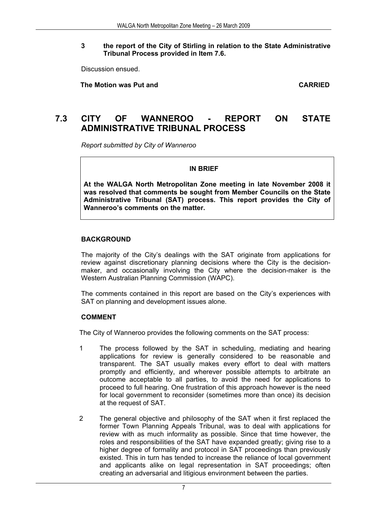# **3 the report of the City of Stirling in relation to the State Administrative Tribunal Process provided in Item 7.6.**

Discussion ensued.

 **The Motion was Put and CARRIED** 

# **7.3 CITY OF WANNEROO - REPORT ON STATE ADMINISTRATIVE TRIBUNAL PROCESS**

*Report submitted by City of Wanneroo* 

**IN BRIEF** 

**At the WALGA North Metropolitan Zone meeting in late November 2008 it was resolved that comments be sought from Member Councils on the State Administrative Tribunal (SAT) process. This report provides the City of Wanneroo's comments on the matter.** 

# **BACKGROUND**

The majority of the City's dealings with the SAT originate from applications for review against discretionary planning decisions where the City is the decisionmaker, and occasionally involving the City where the decision-maker is the Western Australian Planning Commission (WAPC).

The comments contained in this report are based on the City's experiences with SAT on planning and development issues alone.

# **COMMENT**

The City of Wanneroo provides the following comments on the SAT process:

- 1 The process followed by the SAT in scheduling, mediating and hearing applications for review is generally considered to be reasonable and transparent. The SAT usually makes every effort to deal with matters promptly and efficiently, and wherever possible attempts to arbitrate an outcome acceptable to all parties, to avoid the need for applications to proceed to full hearing. One frustration of this approach however is the need for local government to reconsider (sometimes more than once) its decision at the request of SAT.
- 2 The general objective and philosophy of the SAT when it first replaced the former Town Planning Appeals Tribunal, was to deal with applications for review with as much informality as possible. Since that time however, the roles and responsibilities of the SAT have expanded greatly; giving rise to a higher degree of formality and protocol in SAT proceedings than previously existed. This in turn has tended to increase the reliance of local government and applicants alike on legal representation in SAT proceedings; often creating an adversarial and litigious environment between the parties.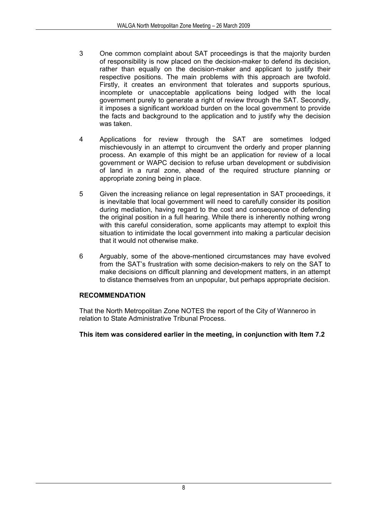- 3 One common complaint about SAT proceedings is that the majority burden of responsibility is now placed on the decision-maker to defend its decision, rather than equally on the decision-maker and applicant to justify their respective positions. The main problems with this approach are twofold. Firstly, it creates an environment that tolerates and supports spurious, incomplete or unacceptable applications being lodged with the local government purely to generate a right of review through the SAT. Secondly, it imposes a significant workload burden on the local government to provide the facts and background to the application and to justify why the decision was taken.
- 4 Applications for review through the SAT are sometimes lodged mischievously in an attempt to circumvent the orderly and proper planning process. An example of this might be an application for review of a local government or WAPC decision to refuse urban development or subdivision of land in a rural zone, ahead of the required structure planning or appropriate zoning being in place.
- 5 Given the increasing reliance on legal representation in SAT proceedings, it is inevitable that local government will need to carefully consider its position during mediation, having regard to the cost and consequence of defending the original position in a full hearing. While there is inherently nothing wrong with this careful consideration, some applicants may attempt to exploit this situation to intimidate the local government into making a particular decision that it would not otherwise make.
- 6 Arguably, some of the above-mentioned circumstances may have evolved from the SAT's frustration with some decision-makers to rely on the SAT to make decisions on difficult planning and development matters, in an attempt to distance themselves from an unpopular, but perhaps appropriate decision.

# **RECOMMENDATION**

That the North Metropolitan Zone NOTES the report of the City of Wanneroo in relation to State Administrative Tribunal Process.

# **This item was considered earlier in the meeting, in conjunction with Item 7.2**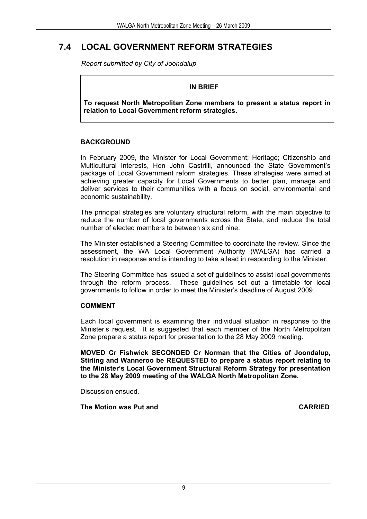# **7.4 LOCAL GOVERNMENT REFORM STRATEGIES**

*Report submitted by City of Joondalup* 

# **IN BRIEF**

**To request North Metropolitan Zone members to present a status report in relation to Local Government reform strategies.** 

# **BACKGROUND**

In February 2009, the Minister for Local Government; Heritage; Citizenship and Multicultural Interests, Hon John Castrilli, announced the State Government's package of Local Government reform strategies. These strategies were aimed at achieving greater capacity for Local Governments to better plan, manage and deliver services to their communities with a focus on social, environmental and economic sustainability.

The principal strategies are voluntary structural reform, with the main objective to reduce the number of local governments across the State, and reduce the total number of elected members to between six and nine.

The Minister established a Steering Committee to coordinate the review. Since the assessment, the WA Local Government Authority (WALGA) has carried a resolution in response and is intending to take a lead in responding to the Minister.

The Steering Committee has issued a set of guidelines to assist local governments through the reform process. These guidelines set out a timetable for local governments to follow in order to meet the Minister's deadline of August 2009.

# **COMMENT**

Each local government is examining their individual situation in response to the Minister's request. It is suggested that each member of the North Metropolitan Zone prepare a status report for presentation to the 28 May 2009 meeting.

**MOVED Cr Fishwick SECONDED Cr Norman that the Cities of Joondalup, Stirling and Wanneroo be REQUESTED to prepare a status report relating to the Minister's Local Government Structural Reform Strategy for presentation to the 28 May 2009 meeting of the WALGA North Metropolitan Zone.**

Discussion ensued.

 **The Motion was Put and CARRIED**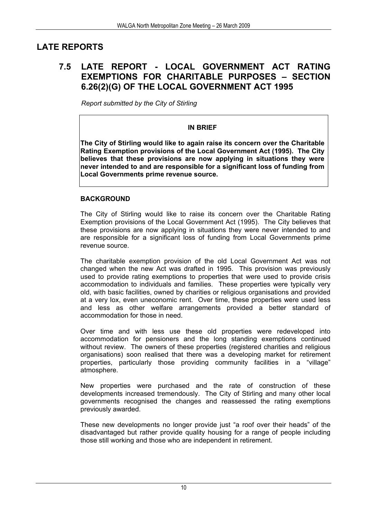# **LATE REPORTS**

# **7.5 LATE REPORT - LOCAL GOVERNMENT ACT RATING EXEMPTIONS FOR CHARITABLE PURPOSES – SECTION 6.26(2)(G) OF THE LOCAL GOVERNMENT ACT 1995**

*Report submitted by the City of Stirling* 

# **IN BRIEF**

**The City of Stirling would like to again raise its concern over the Charitable Rating Exemption provisions of the Local Government Act (1995). The City believes that these provisions are now applying in situations they were never intended to and are responsible for a significant loss of funding from Local Governments prime revenue source.** 

# **BACKGROUND**

The City of Stirling would like to raise its concern over the Charitable Rating Exemption provisions of the Local Government Act (1995). The City believes that these provisions are now applying in situations they were never intended to and are responsible for a significant loss of funding from Local Governments prime revenue source.

The charitable exemption provision of the old Local Government Act was not changed when the new Act was drafted in 1995. This provision was previously used to provide rating exemptions to properties that were used to provide crisis accommodation to individuals and families. These properties were typically very old, with basic facilities, owned by charities or religious organisations and provided at a very lox, even uneconomic rent. Over time, these properties were used less and less as other welfare arrangements provided a better standard of accommodation for those in need.

Over time and with less use these old properties were redeveloped into accommodation for pensioners and the long standing exemptions continued without review. The owners of these properties (registered charities and religious organisations) soon realised that there was a developing market for retirement properties, particularly those providing community facilities in a "village" atmosphere.

New properties were purchased and the rate of construction of these developments increased tremendously. The City of Stirling and many other local governments recognised the changes and reassessed the rating exemptions previously awarded.

These new developments no longer provide just "a roof over their heads" of the disadvantaged but rather provide quality housing for a range of people including those still working and those who are independent in retirement.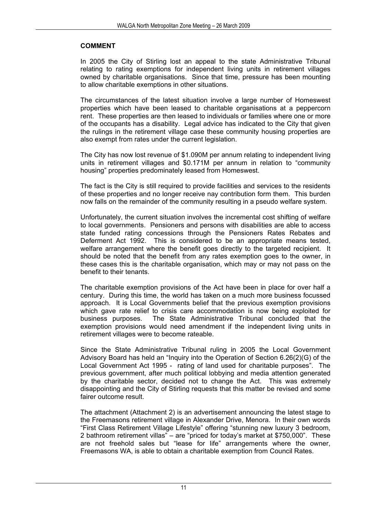# **COMMENT**

In 2005 the City of Stirling lost an appeal to the state Administrative Tribunal relating to rating exemptions for independent living units in retirement villages owned by charitable organisations. Since that time, pressure has been mounting to allow charitable exemptions in other situations.

The circumstances of the latest situation involve a large number of Homeswest properties which have been leased to charitable organisations at a peppercorn rent. These properties are then leased to individuals or families where one or more of the occupants has a disability. Legal advice has indicated to the City that given the rulings in the retirement village case these community housing properties are also exempt from rates under the current legislation.

The City has now lost revenue of \$1.090M per annum relating to independent living units in retirement villages and \$0.171M per annum in relation to "community housing" properties predominately leased from Homeswest.

The fact is the City is still required to provide facilities and services to the residents of these properties and no longer receive nay contribution form them. This burden now falls on the remainder of the community resulting in a pseudo welfare system.

Unfortunately, the current situation involves the incremental cost shifting of welfare to local governments. Pensioners and persons with disabilities are able to access state funded rating concessions through the Pensioners Rates Rebates and Deferment Act 1992. This is considered to be an appropriate means tested, welfare arrangement where the benefit goes directly to the targeted recipient. It should be noted that the benefit from any rates exemption goes to the owner, in these cases this is the charitable organisation, which may or may not pass on the benefit to their tenants.

The charitable exemption provisions of the Act have been in place for over half a century. During this time, the world has taken on a much more business focussed approach. It is Local Governments belief that the previous exemption provisions which gave rate relief to crisis care accommodation is now being exploited for business purposes. The State Administrative Tribunal concluded that the exemption provisions would need amendment if the independent living units in retirement villages were to become rateable.

Since the State Administrative Tribunal ruling in 2005 the Local Government Advisory Board has held an "Inquiry into the Operation of Section 6.26(2)(G) of the Local Government Act 1995 - rating of land used for charitable purposes". The previous government, after much political lobbying and media attention generated by the charitable sector, decided not to change the Act. This was extremely disappointing and the City of Stirling requests that this matter be revised and some fairer outcome result.

The attachment (Attachment 2) is an advertisement announcing the latest stage to the Freemasons retirement village in Alexander Drive, Menora. In their own words "First Class Retirement Village Lifestyle" offering "stunning new luxury 3 bedroom, 2 bathroom retirement villas" – are "priced for today's market at \$750,000". These are not freehold sales but "lease for life" arrangements where the owner, Freemasons WA, is able to obtain a charitable exemption from Council Rates.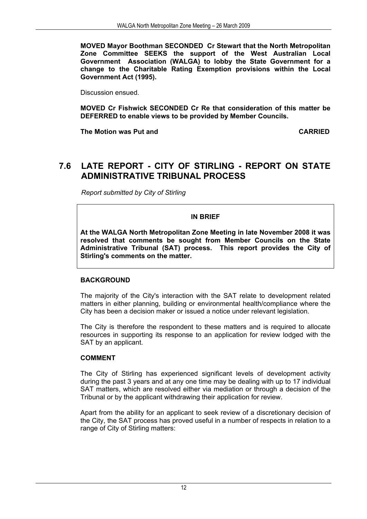**MOVED Mayor Boothman SECONDED Cr Stewart that the North Metropolitan Zone Committee SEEKS the support of the West Australian Local Government Association (WALGA) to lobby the State Government for a change to the Charitable Rating Exemption provisions within the Local Government Act (1995).** 

Discussion ensued.

**MOVED Cr Fishwick SECONDED Cr Re that consideration of this matter be DEFERRED to enable views to be provided by Member Councils.** 

**The Motion was Put and CARRIED CARRIED** 

# **7.6 LATE REPORT - CITY OF STIRLING - REPORT ON STATE ADMINISTRATIVE TRIBUNAL PROCESS**

*Report submitted by City of Stirling* 

**IN BRIEF** 

**At the WALGA North Metropolitan Zone Meeting in late November 2008 it was resolved that comments be sought from Member Councils on the State Administrative Tribunal (SAT) process. This report provides the City of Stirling's comments on the matter.** 

# **BACKGROUND**

The majority of the City's interaction with the SAT relate to development related matters in either planning, building or environmental health/compliance where the City has been a decision maker or issued a notice under relevant legislation.

The City is therefore the respondent to these matters and is required to allocate resources in supporting its response to an application for review lodged with the SAT by an applicant.

# **COMMENT**

The City of Stirling has experienced significant levels of development activity during the past 3 years and at any one time may be dealing with up to 17 individual SAT matters, which are resolved either via mediation or through a decision of the Tribunal or by the applicant withdrawing their application for review.

Apart from the ability for an applicant to seek review of a discretionary decision of the City, the SAT process has proved useful in a number of respects in relation to a range of City of Stirling matters: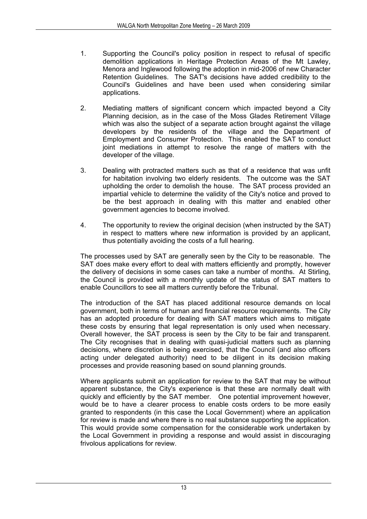- 1. Supporting the Council's policy position in respect to refusal of specific demolition applications in Heritage Protection Areas of the Mt Lawley, Menora and Inglewood following the adoption in mid-2006 of new Character Retention Guidelines. The SAT's decisions have added credibility to the Council's Guidelines and have been used when considering similar applications.
- 2. Mediating matters of significant concern which impacted beyond a City Planning decision, as in the case of the Moss Glades Retirement Village which was also the subject of a separate action brought against the village developers by the residents of the village and the Department of Employment and Consumer Protection. This enabled the SAT to conduct joint mediations in attempt to resolve the range of matters with the developer of the village.
- 3. Dealing with protracted matters such as that of a residence that was unfit for habitation involving two elderly residents. The outcome was the SAT upholding the order to demolish the house. The SAT process provided an impartial vehicle to determine the validity of the City's notice and proved to be the best approach in dealing with this matter and enabled other government agencies to become involved.
- 4. The opportunity to review the original decision (when instructed by the SAT) in respect to matters where new information is provided by an applicant, thus potentially avoiding the costs of a full hearing.

The processes used by SAT are generally seen by the City to be reasonable. The SAT does make every effort to deal with matters efficiently and promptly, however the delivery of decisions in some cases can take a number of months. At Stirling, the Council is provided with a monthly update of the status of SAT matters to enable Councillors to see all matters currently before the Tribunal.

The introduction of the SAT has placed additional resource demands on local government, both in terms of human and financial resource requirements. The City has an adopted procedure for dealing with SAT matters which aims to mitigate these costs by ensuring that legal representation is only used when necessary. Overall however, the SAT process is seen by the City to be fair and transparent. The City recognises that in dealing with quasi-judicial matters such as planning decisions, where discretion is being exercised, that the Council (and also officers acting under delegated authority) need to be diligent in its decision making processes and provide reasoning based on sound planning grounds.

Where applicants submit an application for review to the SAT that may be without apparent substance, the City's experience is that these are normally dealt with quickly and efficiently by the SAT member. One potential improvement however, would be to have a clearer process to enable costs orders to be more easily granted to respondents (in this case the Local Government) where an application for review is made and where there is no real substance supporting the application. This would provide some compensation for the considerable work undertaken by the Local Government in providing a response and would assist in discouraging frivolous applications for review.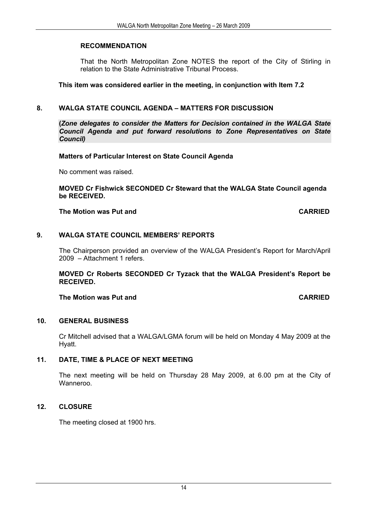# **RECOMMENDATION**

That the North Metropolitan Zone NOTES the report of the City of Stirling in relation to the State Administrative Tribunal Process.

# **This item was considered earlier in the meeting, in conjunction with Item 7.2**

# **8. WALGA STATE COUNCIL AGENDA – MATTERS FOR DISCUSSION**

**(***Zone delegates to consider the Matters for Decision contained in the WALGA State Council Agenda and put forward resolutions to Zone Representatives on State Council)*

# **Matters of Particular Interest on State Council Agenda**

No comment was raised.

**MOVED Cr Fishwick SECONDED Cr Steward that the WALGA State Council agenda be RECEIVED.** 

# **The Motion was Put and CARRIED CARRIED**

# **9. WALGA STATE COUNCIL MEMBERS' REPORTS**

The Chairperson provided an overview of the WALGA President's Report for March/April 2009 – Attachment 1 refers.

**MOVED Cr Roberts SECONDED Cr Tyzack that the WALGA President's Report be RECEIVED.** 

# **The Motion was Put and CARRIED**

# **10. GENERAL BUSINESS**

Cr Mitchell advised that a WALGA/LGMA forum will be held on Monday 4 May 2009 at the Hyatt.

# **11. DATE, TIME & PLACE OF NEXT MEETING**

The next meeting will be held on Thursday 28 May 2009, at 6.00 pm at the City of Wanneroo.

# **12. CLOSURE**

The meeting closed at 1900 hrs.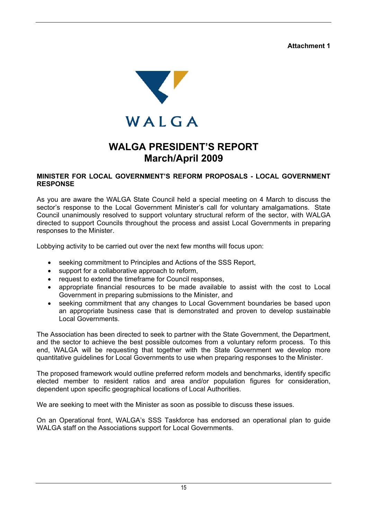**Attachment 1** 



# **WALGA PRESIDENT'S REPORT March/April 2009**

# **MINISTER FOR LOCAL GOVERNMENT'S REFORM PROPOSALS - LOCAL GOVERNMENT RESPONSE**

As you are aware the WALGA State Council held a special meeting on 4 March to discuss the sector's response to the Local Government Minister's call for voluntary amalgamations. State Council unanimously resolved to support voluntary structural reform of the sector, with WALGA directed to support Councils throughout the process and assist Local Governments in preparing responses to the Minister.

Lobbying activity to be carried out over the next few months will focus upon:

- seeking commitment to Principles and Actions of the SSS Report,
- support for a collaborative approach to reform,
- request to extend the timeframe for Council responses,
- appropriate financial resources to be made available to assist with the cost to Local Government in preparing submissions to the Minister, and
- seeking commitment that any changes to Local Government boundaries be based upon an appropriate business case that is demonstrated and proven to develop sustainable Local Governments.

The Association has been directed to seek to partner with the State Government, the Department, and the sector to achieve the best possible outcomes from a voluntary reform process. To this end, WALGA will be requesting that together with the State Government we develop more quantitative guidelines for Local Governments to use when preparing responses to the Minister.

The proposed framework would outline preferred reform models and benchmarks, identify specific elected member to resident ratios and area and/or population figures for consideration, dependent upon specific geographical locations of Local Authorities.

We are seeking to meet with the Minister as soon as possible to discuss these issues.

On an Operational front, WALGA's SSS Taskforce has endorsed an operational plan to guide WALGA staff on the Associations support for Local Governments.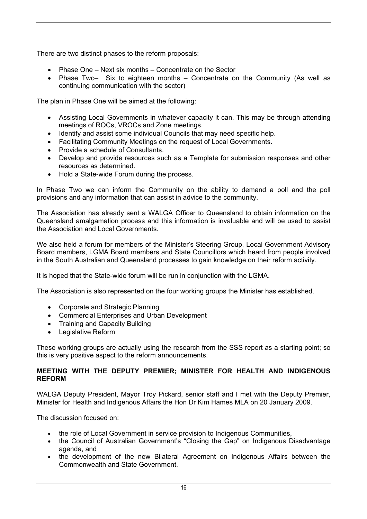There are two distinct phases to the reform proposals:

- Phase One Next six months Concentrate on the Sector
- Phase Two– Six to eighteen months Concentrate on the Community (As well as continuing communication with the sector)

The plan in Phase One will be aimed at the following:

- Assisting Local Governments in whatever capacity it can. This may be through attending meetings of ROCs, VROCs and Zone meetings.
- Identify and assist some individual Councils that may need specific help.
- Facilitating Community Meetings on the request of Local Governments.
- Provide a schedule of Consultants.
- Develop and provide resources such as a Template for submission responses and other resources as determined.
- Hold a State-wide Forum during the process.

In Phase Two we can inform the Community on the ability to demand a poll and the poll provisions and any information that can assist in advice to the community.

The Association has already sent a WALGA Officer to Queensland to obtain information on the Queensland amalgamation process and this information is invaluable and will be used to assist the Association and Local Governments.

We also held a forum for members of the Minister's Steering Group, Local Government Advisory Board members, LGMA Board members and State Councillors which heard from people involved in the South Australian and Queensland processes to gain knowledge on their reform activity.

It is hoped that the State-wide forum will be run in conjunction with the LGMA.

The Association is also represented on the four working groups the Minister has established.

- Corporate and Strategic Planning
- Commercial Enterprises and Urban Development
- Training and Capacity Building
- Legislative Reform

These working groups are actually using the research from the SSS report as a starting point; so this is very positive aspect to the reform announcements.

# **MEETING WITH THE DEPUTY PREMIER; MINISTER FOR HEALTH AND INDIGENOUS REFORM**

WALGA Deputy President, Mayor Troy Pickard, senior staff and I met with the Deputy Premier, Minister for Health and Indigenous Affairs the Hon Dr Kim Hames MLA on 20 January 2009.

The discussion focused on:

- the role of Local Government in service provision to Indigenous Communities,
- the Council of Australian Government's "Closing the Gap" on Indigenous Disadvantage agenda, and
- the development of the new Bilateral Agreement on Indigenous Affairs between the Commonwealth and State Government.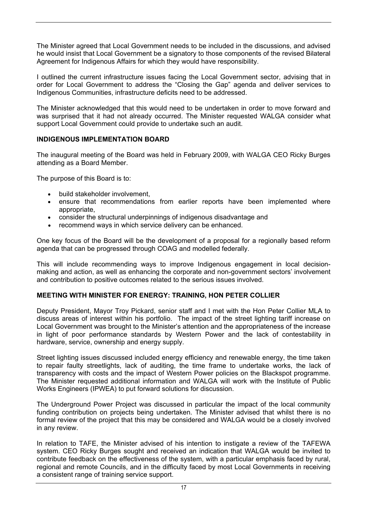The Minister agreed that Local Government needs to be included in the discussions, and advised he would insist that Local Government be a signatory to those components of the revised Bilateral Agreement for Indigenous Affairs for which they would have responsibility.

I outlined the current infrastructure issues facing the Local Government sector, advising that in order for Local Government to address the "Closing the Gap" agenda and deliver services to Indigenous Communities, infrastructure deficits need to be addressed.

The Minister acknowledged that this would need to be undertaken in order to move forward and was surprised that it had not already occurred. The Minister requested WALGA consider what support Local Government could provide to undertake such an audit.

# **INDIGENOUS IMPLEMENTATION BOARD**

The inaugural meeting of the Board was held in February 2009, with WALGA CEO Ricky Burges attending as a Board Member.

The purpose of this Board is to:

- build stakeholder involvement,
- ensure that recommendations from earlier reports have been implemented where appropriate,
- consider the structural underpinnings of indigenous disadvantage and
- recommend ways in which service delivery can be enhanced.

One key focus of the Board will be the development of a proposal for a regionally based reform agenda that can be progressed through COAG and modelled federally.

This will include recommending ways to improve Indigenous engagement in local decisionmaking and action, as well as enhancing the corporate and non-government sectors' involvement and contribution to positive outcomes related to the serious issues involved.

# **MEETING WITH MINISTER FOR ENERGY: TRAINING, HON PETER COLLIER**

Deputy President, Mayor Troy Pickard, senior staff and I met with the Hon Peter Collier MLA to discuss areas of interest within his portfolio. The impact of the street lighting tariff increase on Local Government was brought to the Minister's attention and the appropriateness of the increase in light of poor performance standards by Western Power and the lack of contestability in hardware, service, ownership and energy supply.

Street lighting issues discussed included energy efficiency and renewable energy, the time taken to repair faulty streetlights, lack of auditing, the time frame to undertake works, the lack of transparency with costs and the impact of Western Power policies on the Blackspot programme. The Minister requested additional information and WALGA will work with the Institute of Public Works Engineers (IPWEA) to put forward solutions for discussion.

The Underground Power Project was discussed in particular the impact of the local community funding contribution on projects being undertaken. The Minister advised that whilst there is no formal review of the project that this may be considered and WALGA would be a closely involved in any review.

In relation to TAFE, the Minister advised of his intention to instigate a review of the TAFEWA system. CEO Ricky Burges sought and received an indication that WALGA would be invited to contribute feedback on the effectiveness of the system, with a particular emphasis faced by rural, regional and remote Councils, and in the difficulty faced by most Local Governments in receiving a consistent range of training service support.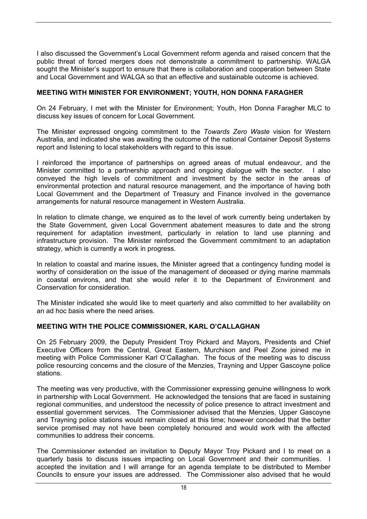I also discussed the Government's Local Government reform agenda and raised concern that the public threat of forced mergers does not demonstrate a commitment to partnership. WALGA sought the Minister's support to ensure that there is collaboration and cooperation between State and Local Government and WALGA so that an effective and sustainable outcome is achieved.

# **MEETING WITH MINISTER FOR ENVIRONMENT; YOUTH, HON DONNA FARAGHER**

On 24 February, I met with the Minister for Environment; Youth, Hon Donna Faragher MLC to discuss key issues of concern for Local Government.

The Minister expressed ongoing commitment to the *Towards Zero Waste* vision for Western Australia, and indicated she was awaiting the outcome of the national Container Deposit Systems report and listening to local stakeholders with regard to this issue.

I reinforced the importance of partnerships on agreed areas of mutual endeavour, and the Minister committed to a partnership approach and ongoing dialogue with the sector. I also conveyed the high levels of commitment and investment by the sector in the areas of environmental protection and natural resource management, and the importance of having both Local Government and the Department of Treasury and Finance involved in the governance arrangements for natural resource management in Western Australia.

In relation to climate change, we enquired as to the level of work currently being undertaken by the State Government, given Local Government abatement measures to date and the strong requirement for adaptation investment, particularly in relation to land use planning and infrastructure provision. The Minister reinforced the Government commitment to an adaptation strategy, which is currently a work in progress.

In relation to coastal and marine issues, the Minister agreed that a contingency funding model is worthy of consideration on the issue of the management of deceased or dying marine mammals in coastal environs, and that she would refer it to the Department of Environment and Conservation for consideration.

The Minister indicated she would like to meet quarterly and also committed to her availability on an ad hoc basis where the need arises.

# **MEETING WITH THE POLICE COMMISSIONER, KARL O'CALLAGHAN**

On 25 February 2009, the Deputy President Troy Pickard and Mayors, Presidents and Chief Executive Officers from the Central, Great Eastern, Murchison and Peel Zone joined me in meeting with Police Commissioner Karl O'Callaghan. The focus of the meeting was to discuss police resourcing concerns and the closure of the Menzies, Trayning and Upper Gascoyne police stations.

The meeting was very productive, with the Commissioner expressing genuine willingness to work in partnership with Local Government. He acknowledged the tensions that are faced in sustaining regional communities, and understood the necessity of police presence to attract investment and essential government services. The Commissioner advised that the Menzies, Upper Gascoyne and Trayning police stations would remain closed at this time; however conceded that the better service promised may not have been completely honoured and would work with the affected communities to address their concerns.

The Commissioner extended an invitation to Deputy Mayor Troy Pickard and I to meet on a quarterly basis to discuss issues impacting on Local Government and their communities. I accepted the invitation and I will arrange for an agenda template to be distributed to Member Councils to ensure your issues are addressed. The Commissioner also advised that he would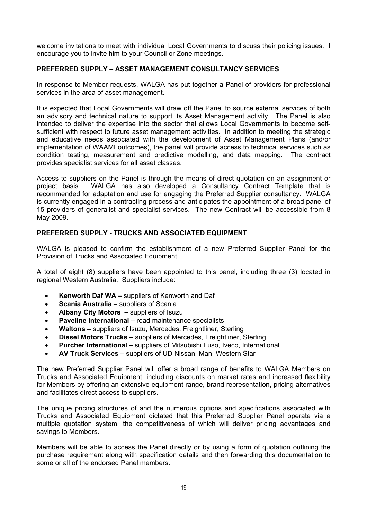welcome invitations to meet with individual Local Governments to discuss their policing issues. I encourage you to invite him to your Council or Zone meetings.

# **PREFERRED SUPPLY – ASSET MANAGEMENT CONSULTANCY SERVICES**

In response to Member requests, WALGA has put together a Panel of providers for professional services in the area of asset management.

It is expected that Local Governments will draw off the Panel to source external services of both an advisory and technical nature to support its Asset Management activity. The Panel is also intended to deliver the expertise into the sector that allows Local Governments to become selfsufficient with respect to future asset management activities. In addition to meeting the strategic and educative needs associated with the development of Asset Management Plans (and/or implementation of WAAMI outcomes), the panel will provide access to technical services such as condition testing, measurement and predictive modelling, and data mapping. The contract provides specialist services for all asset classes.

Access to suppliers on the Panel is through the means of direct quotation on an assignment or project basis. WALGA has also developed a Consultancy Contract Template that is recommended for adaptation and use for engaging the Preferred Supplier consultancy. WALGA is currently engaged in a contracting process and anticipates the appointment of a broad panel of 15 providers of generalist and specialist services. The new Contract will be accessible from 8 May 2009.

# **PREFERRED SUPPLY - TRUCKS AND ASSOCIATED EQUIPMENT**

WALGA is pleased to confirm the establishment of a new Preferred Supplier Panel for the Provision of Trucks and Associated Equipment.

A total of eight (8) suppliers have been appointed to this panel, including three (3) located in regional Western Australia. Suppliers include:

- **Kenworth Daf WA** suppliers of Kenworth and Daf
- **Scania Australia** suppliers of Scania
- **Albany City Motors** suppliers of Isuzu
- **Paveline International** road maintenance specialists
- **Waltons** suppliers of Isuzu, Mercedes, Freightliner, Sterling
- **Diesel Motors Trucks** suppliers of Mercedes, Freightliner, Sterling
- **Purcher International** suppliers of Mitsubishi Fuso, Iveco, International
- **AV Truck Services** suppliers of UD Nissan, Man, Western Star

The new Preferred Supplier Panel will offer a broad range of benefits to WALGA Members on Trucks and Associated Equipment, including discounts on market rates and increased flexibility for Members by offering an extensive equipment range, brand representation, pricing alternatives and facilitates direct access to suppliers.

The unique pricing structures of and the numerous options and specifications associated with Trucks and Associated Equipment dictated that this Preferred Supplier Panel operate via a multiple quotation system, the competitiveness of which will deliver pricing advantages and savings to Members.

Members will be able to access the Panel directly or by using a form of quotation outlining the purchase requirement along with specification details and then forwarding this documentation to some or all of the endorsed Panel members.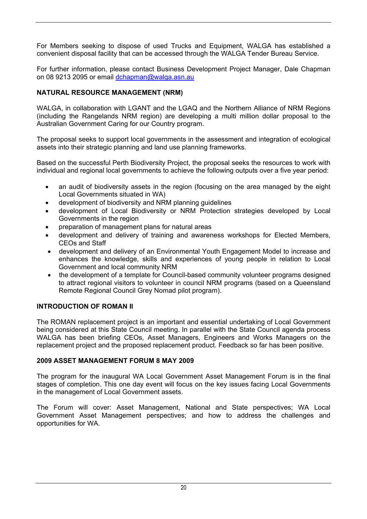For Members seeking to dispose of used Trucks and Equipment, WALGA has established a convenient disposal facility that can be accessed through the WALGA Tender Bureau Service.

For further information, please contact Business Development Project Manager, Dale Chapman on 08 9213 2095 or email dchapman@walga.asn.au

# **NATURAL RESOURCE MANAGEMENT (NRM)**

WALGA, in collaboration with LGANT and the LGAQ and the Northern Alliance of NRM Regions (including the Rangelands NRM region) are developing a multi million dollar proposal to the Australian Government Caring for our Country program.

The proposal seeks to support local governments in the assessment and integration of ecological assets into their strategic planning and land use planning frameworks.

Based on the successful Perth Biodiversity Project, the proposal seeks the resources to work with individual and regional local governments to achieve the following outputs over a five year period:

- an audit of biodiversity assets in the region (focusing on the area managed by the eight Local Governments situated in WA)
- development of biodiversity and NRM planning guidelines
- development of Local Biodiversity or NRM Protection strategies developed by Local Governments in the region
- preparation of management plans for natural areas
- development and delivery of training and awareness workshops for Elected Members, CEOs and Staff
- development and delivery of an Environmental Youth Engagement Model to increase and enhances the knowledge, skills and experiences of young people in relation to Local Government and local community NRM
- the development of a template for Council-based community volunteer programs designed to attract regional visitors to volunteer in council NRM programs (based on a Queensland Remote Regional Council Grey Nomad pilot program).

# **INTRODUCTION OF ROMAN II**

The ROMAN replacement project is an important and essential undertaking of Local Government being considered at this State Council meeting. In parallel with the State Council agenda process WALGA has been briefing CEOs, Asset Managers, Engineers and Works Managers on the replacement project and the proposed replacement product. Feedback so far has been positive.

# **2009 ASSET MANAGEMENT FORUM 8 MAY 2009**

The program for the inaugural WA Local Government Asset Management Forum is in the final stages of completion. This one day event will focus on the key issues facing Local Governments in the management of Local Government assets.

The Forum will cover: Asset Management, National and State perspectives; WA Local Government Asset Management perspectives; and how to address the challenges and opportunities for WA.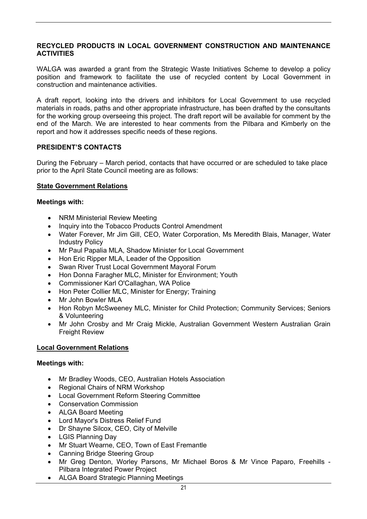# **RECYCLED PRODUCTS IN LOCAL GOVERNMENT CONSTRUCTION AND MAINTENANCE ACTIVITIES**

WALGA was awarded a grant from the Strategic Waste Initiatives Scheme to develop a policy position and framework to facilitate the use of recycled content by Local Government in construction and maintenance activities.

A draft report, looking into the drivers and inhibitors for Local Government to use recycled materials in roads, paths and other appropriate infrastructure, has been drafted by the consultants for the working group overseeing this project. The draft report will be available for comment by the end of the March. We are interested to hear comments from the Pilbara and Kimberly on the report and how it addresses specific needs of these regions.

# **PRESIDENT'S CONTACTS**

During the February – March period, contacts that have occurred or are scheduled to take place prior to the April State Council meeting are as follows:

# **State Government Relations**

### **Meetings with:**

- NRM Ministerial Review Meeting
- Inquiry into the Tobacco Products Control Amendment
- Water Forever, Mr Jim Gill, CEO, Water Corporation, Ms Meredith Blais, Manager, Water Industry Policy
- Mr Paul Papalia MLA, Shadow Minister for Local Government
- Hon Eric Ripper MLA, Leader of the Opposition
- Swan River Trust Local Government Mayoral Forum
- Hon Donna Faragher MLC, Minister for Environment; Youth
- Commissioner Karl O'Callaghan, WA Police
- Hon Peter Collier MLC, Minister for Energy; Training
- Mr John Bowler MLA
- Hon Robyn McSweeney MLC, Minister for Child Protection; Community Services; Seniors & Volunteering
- Mr John Crosby and Mr Craig Mickle, Australian Government Western Australian Grain Freight Review

# **Local Government Relations**

# **Meetings with:**

- Mr Bradley Woods, CEO, Australian Hotels Association
- Regional Chairs of NRM Workshop
- Local Government Reform Steering Committee
- Conservation Commission
- ALGA Board Meeting
- Lord Mayor's Distress Relief Fund
- Dr Shayne Silcox, CEO, City of Melville
- LGIS Planning Day
- Mr Stuart Wearne, CEO, Town of East Fremantle
- Canning Bridge Steering Group
- Mr Greg Denton, Worley Parsons, Mr Michael Boros & Mr Vince Paparo, Freehills Pilbara Integrated Power Project
- ALGA Board Strategic Planning Meetings